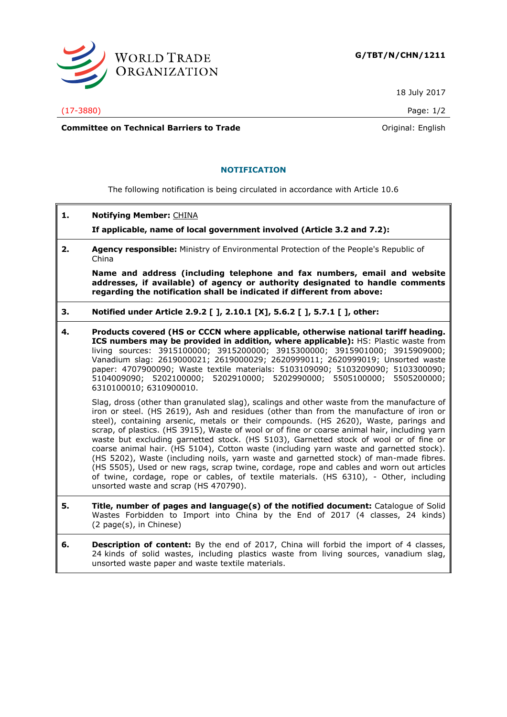

18 July 2017

(17-3880) Page: 1/2

**Committee on Technical Barriers to Trade Committee on Technical Barriers to Trade Original:** English

## **NOTIFICATION**

The following notification is being circulated in accordance with Article 10.6

| 1. | <b>Notifying Member: CHINA</b>                                                                                                                                                                                                                                                                                                                                                                                                                                                                                                                                                                                                                                                                                                                                                                                                                                                             |
|----|--------------------------------------------------------------------------------------------------------------------------------------------------------------------------------------------------------------------------------------------------------------------------------------------------------------------------------------------------------------------------------------------------------------------------------------------------------------------------------------------------------------------------------------------------------------------------------------------------------------------------------------------------------------------------------------------------------------------------------------------------------------------------------------------------------------------------------------------------------------------------------------------|
|    | If applicable, name of local government involved (Article 3.2 and 7.2):                                                                                                                                                                                                                                                                                                                                                                                                                                                                                                                                                                                                                                                                                                                                                                                                                    |
| 2. | Agency responsible: Ministry of Environmental Protection of the People's Republic of<br>China                                                                                                                                                                                                                                                                                                                                                                                                                                                                                                                                                                                                                                                                                                                                                                                              |
|    | Name and address (including telephone and fax numbers, email and website<br>addresses, if available) of agency or authority designated to handle comments<br>regarding the notification shall be indicated if different from above:                                                                                                                                                                                                                                                                                                                                                                                                                                                                                                                                                                                                                                                        |
| з. | Notified under Article 2.9.2 [ ], 2.10.1 [X], 5.6.2 [ ], 5.7.1 [ ], other:                                                                                                                                                                                                                                                                                                                                                                                                                                                                                                                                                                                                                                                                                                                                                                                                                 |
| 4. | Products covered (HS or CCCN where applicable, otherwise national tariff heading.<br>ICS numbers may be provided in addition, where applicable): HS: Plastic waste from<br>living sources: 3915100000; 3915200000; 3915300000; 3915901000; 3915909000;<br>Vanadium slag: 2619000021; 2619000029; 2620999011; 2620999019; Unsorted waste<br>paper: 4707900090; Waste textile materials: 5103109090; 5103209090; 5103300090;<br>5104009090; 5202100000; 5202910000; 5202990000; 5505100000; 5505200000;<br>6310100010; 6310900010.                                                                                                                                                                                                                                                                                                                                                           |
|    | Slag, dross (other than granulated slag), scalings and other waste from the manufacture of<br>iron or steel. (HS 2619), Ash and residues (other than from the manufacture of iron or<br>steel), containing arsenic, metals or their compounds. (HS 2620), Waste, parings and<br>scrap, of plastics. (HS 3915), Waste of wool or of fine or coarse animal hair, including yarn<br>waste but excluding garnetted stock. (HS 5103), Garnetted stock of wool or of fine or<br>coarse animal hair. (HS 5104), Cotton waste (including yarn waste and garnetted stock).<br>(HS 5202), Waste (including noils, yarn waste and garnetted stock) of man-made fibres.<br>(HS 5505), Used or new rags, scrap twine, cordage, rope and cables and worn out articles<br>of twine, cordage, rope or cables, of textile materials. (HS 6310), - Other, including<br>unsorted waste and scrap (HS 470790). |
| 5. | Title, number of pages and language(s) of the notified document: Catalogue of Solid<br>Wastes Forbidden to Import into China by the End of 2017 (4 classes, 24 kinds)                                                                                                                                                                                                                                                                                                                                                                                                                                                                                                                                                                                                                                                                                                                      |

(2 page(s), in Chinese) **6. Description of content:** By the end of 2017, China will forbid the import of 4 classes, 24 kinds of solid wastes, including plastics waste from living sources, vanadium slag,

unsorted waste paper and waste textile materials.